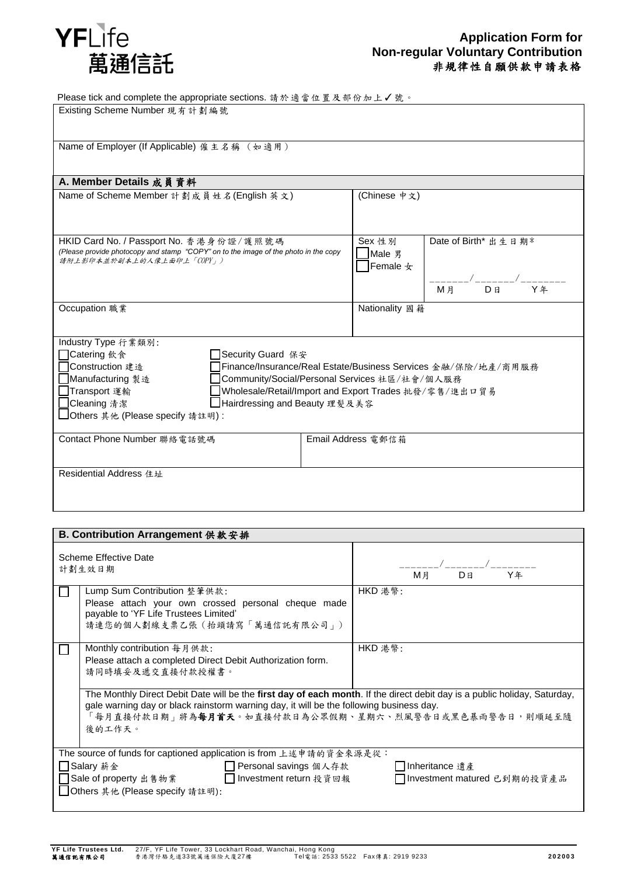

Please tick and complete the appropriate sections. 請於適當位置及部份加上✓號。

| Existing Scheme Number 現有計劃編號                                                                                                                                                                                                                                                                                                                                                             |                                                                              |    |  |  |
|-------------------------------------------------------------------------------------------------------------------------------------------------------------------------------------------------------------------------------------------------------------------------------------------------------------------------------------------------------------------------------------------|------------------------------------------------------------------------------|----|--|--|
| Name of Employer (If Applicable) 僱主名稱 (如適用)                                                                                                                                                                                                                                                                                                                                               |                                                                              |    |  |  |
| A. Member Details 成員資料                                                                                                                                                                                                                                                                                                                                                                    |                                                                              |    |  |  |
| Name of Scheme Member 計劃成員姓名(English 英文)                                                                                                                                                                                                                                                                                                                                                  | (Chinese 中文)                                                                 |    |  |  |
| HKID Card No. / Passport No. 香港身份證/護照號碼<br>(Please provide photocopy and stamp "COPY" on to the image of the photo in the copy<br>請附上影印本並於副本上的人像上面印上「COPY」)                                                                                                                                                                                                                               | Sex 性別<br>Date of Birth* 出生日期*<br>Male 男<br>Female $\pm$<br>M 月<br><b>D日</b> | Y年 |  |  |
| Occupation 職業                                                                                                                                                                                                                                                                                                                                                                             | Nationality 國籍                                                               |    |  |  |
| Industry Type 行業類別:<br>□Catering 飲食<br>Security Guard 保安<br>□ Construction 建造<br>Finance/Insurance/Real Estate/Business Services 金融/保險/地產/商用服務<br>□ Manufacturing 製造<br>∫Community/Social/Personal Services 社區/社會/個人服務<br>□Transport 運輸<br> Wholesale/Retail/Import and Export Trades 批發/零售/進出口貿易<br>◯Cleaning 清潔<br>■Hairdressing and Beauty 理髪及美容<br>■ △ Others 其他 (Please specify 請註明) |                                                                              |    |  |  |
| Contact Phone Number 聯絡電話號碼                                                                                                                                                                                                                                                                                                                                                               | Email Address 電郵信箱                                                           |    |  |  |
| Residential Address 住址                                                                                                                                                                                                                                                                                                                                                                    |                                                                              |    |  |  |

| B. Contribution Arrangement 供款安排                                                                                                                                                                                                                                                                |                                                                                                                                                              |                       |
|-------------------------------------------------------------------------------------------------------------------------------------------------------------------------------------------------------------------------------------------------------------------------------------------------|--------------------------------------------------------------------------------------------------------------------------------------------------------------|-----------------------|
|                                                                                                                                                                                                                                                                                                 | Scheme Effective Date<br>計劃生效日期                                                                                                                              | Y年<br>MЯ<br><b>D日</b> |
|                                                                                                                                                                                                                                                                                                 | Lump Sum Contribution 整筆供款:<br>Please attach your own crossed personal cheque made<br>payable to 'YF Life Trustees Limited'<br>請連您的個人劃線支票乙張 (抬頭請寫「萬通信託有限公司」) | HKD 港幣:               |
|                                                                                                                                                                                                                                                                                                 | Monthly contribution 每月供款:<br>Please attach a completed Direct Debit Authorization form.<br>請同時填妥及遞交直接付款授權書。                                                 | HKD 港幣:               |
| The Monthly Direct Debit Date will be the first day of each month. If the direct debit day is a public holiday, Saturday,<br>gale warning day or black rainstorm warning day, it will be the following business day.<br>「每月直接付款日期」將為 <b>每月首天</b> 。如直接付款日為公眾假期、星期六、烈風警告日或黑色暴雨警告日,則順延至隨<br>後的工作天。 |                                                                                                                                                              |                       |
| The source of funds for captioned application is from 上述申請的資金來源是從:<br>ヿSalary 薪金<br>◯ Personal savings 個人存款<br>□ Inheritance 遺産<br>Sale of property 出售物業<br>◯ Investment return 投資回報<br>  Investment matured 已到期的投資產品<br>■ Others 其他 (Please specify 請註明):                                      |                                                                                                                                                              |                       |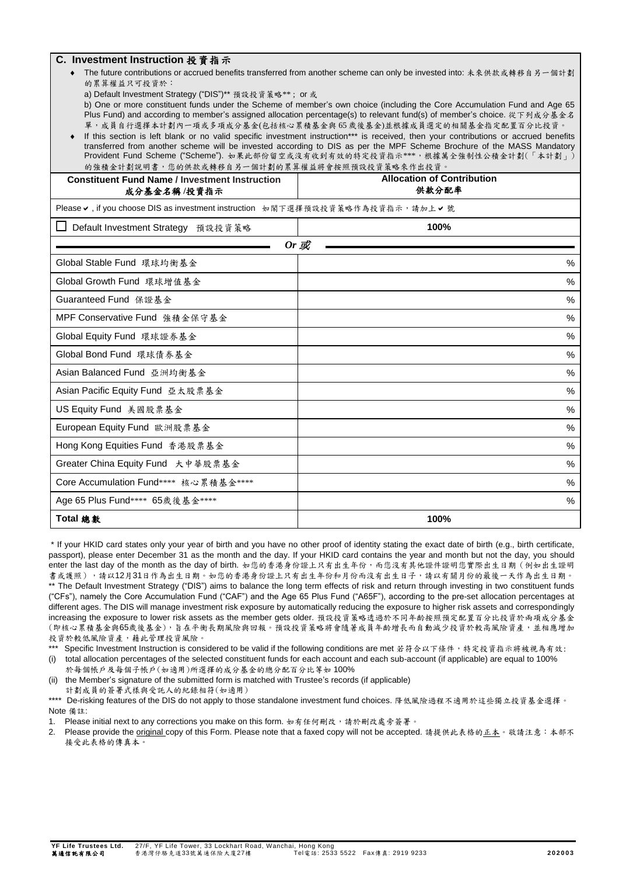# **C. Investment Instruction** 投資指示

- ◆ The future contributions or accrued benefits transferred from another scheme can only be invested into: 未來供款或轉移自另一個計劃 的累算權益只可投資於:
	- a) Default Investment Strategy ("DIS")\*\* 預設投資策略\*\* ; or 或
	- b) One or more constituent funds under the Scheme of member's own choice (including the Core Accumulation Fund and Age 65 Plus Fund) and according to member's assigned allocation percentage(s) to relevant fund(s) of member's choice. 從下列成分基金名 單,成員自行選擇本計劃內一項或多項成分基金(包括核心累積基金與 65 歲後基金)並根據成員選定的相關基金指定配置百分比投資。
- If this section is left blank or no valid specific investment instruction\*\*\* is received, then your contributions or accrued benefits transferred from another scheme will be invested according to DIS as per the MPF Scheme Brochure of the MASS Mandatory Provident Fund Scheme ("Scheme"). 如果此部份留空或沒有收到有效的特定投資指示\*\*\*,根據萬全強制性公積金計劃(「本計劃」) 的強積金計劃說明書,您的供款或轉移自另一個計劃的累算權益將會按照預設投資策略來作出投資。

| 151 蚀 槓 金 訂 劃 詋 呏 晋 , 恐 旳 伿 叙 lx 取 杼 月 力 一 個 訂 劃 旳 糸 昇 稚 血 浒 宵 祋 喣 垻 宬 攼 攷 頁 朿 唂 氺 作 出 孜 頁 。<br><b>Constituent Fund Name / Investment Instruction</b><br>成分基金名稱/投資指示 | <b>Allocation of Contribution</b><br>供款分配率 |  |
|----------------------------------------------------------------------------------------------------------------------------------------------------------------------|--------------------------------------------|--|
| Please v, if you choose DIS as investment instruction 如閣下選擇預設投資策略作為投資指示,請加上 v 號                                                                                      |                                            |  |
| $\mathbf{I}$<br>Default Investment Strategy 預設投資策略                                                                                                                   | 100%                                       |  |
|                                                                                                                                                                      | Or $\overrightarrow{g}$                    |  |
| Global Stable Fund 環球均衡基金                                                                                                                                            | $\%$                                       |  |
| Global Growth Fund 環球增值基金                                                                                                                                            | %                                          |  |
| Guaranteed Fund 保證基金                                                                                                                                                 | %                                          |  |
| MPF Conservative Fund 強積金保守基金                                                                                                                                        | %                                          |  |
| Global Equity Fund 環球證券基金                                                                                                                                            | %                                          |  |
| Global Bond Fund 環球債券基金                                                                                                                                              | %                                          |  |
| Asian Balanced Fund 亞洲均衡基金                                                                                                                                           | %                                          |  |
| Asian Pacific Equity Fund 亞太股票基金                                                                                                                                     | %                                          |  |
| US Equity Fund 美國股票基金                                                                                                                                                | %                                          |  |
| European Equity Fund 歐洲股票基金                                                                                                                                          | %                                          |  |
| Hong Kong Equities Fund 香港股票基金                                                                                                                                       | %                                          |  |
| Greater China Equity Fund 大中華股票基金                                                                                                                                    | %                                          |  |
| Core Accumulation Fund **** 核心累積基金 ****                                                                                                                              | $\%$                                       |  |
| Age 65 Plus Fund**** 65歲後基金*****                                                                                                                                     | %                                          |  |
| <b>Total 總數</b>                                                                                                                                                      | 100%                                       |  |

\* If your HKID card states only your year of birth and you have no other proof of identity stating the exact date of birth (e.g., birth certificate, passport), please enter December 31 as the month and the day. If your HKID card contains the year and month but not the day, you should enter the last day of the month as the day of birth. 如您的香港身份證上只有出生年份,而您沒有其他證件證明您實際出生日期(例如出生證明 書或護照),這以12月31日作為出生日期。如您的香港身份證上只有出生年份和月份而沒有出生日子,請以有關月份的最後一天作為出生日期。 \*\* The Default Investment Strategy ("DIS") aims to balance the long term effects of risk and return through investing in two constituent funds ("CFs"), namely the Core Accumulation Fund ("CAF") and the Age 65 Plus Fund ("A65F"), according to the pre-set allocation percentages at different ages. The DIS will manage investment risk exposure by automatically reducing the exposure to higher risk assets and correspondingly increasing the exposure to lower risk assets as the member gets older. 預設投資策略透過於不同年齡按照預定配置百分比投資於兩項成分基金 (即核心累積基金與65歲後基金),旨在平衡長期風險與回報。預設投資策略將會隨著成員年齡增長而自動減少投資於較高風險資產,並相應增加 投資於較低風險資產,藉此管理投資風險。

Specific Investment Instruction is considered to be valid if the following conditions are met 若符合以下條件,特定投資指示將被視為有效;

(i) total allocation percentages of the selected constituent funds for each account and each sub-account (if applicable) are equal to 100% 於每個帳戶及每個子帳戶(如適用)所選擇的成分基金的總分配百分比等如 100%

(ii) the Member's signature of the submitted form is matched with Trustee's records (if applicable)

計劃成員的簽署式樣與受託人的紀錄相符(如適用)

\*\*\*\* De-risking features of the DIS do not apply to those standalone investment fund choices. 降低風險過程不適用於這些獨立投資基金選擇。 Note 備註:

1. Please initial next to any corrections you make on this form. 如有任何刪改, 請於刪改處旁簽署。

2. Please provide the **original copy of this Form. Please note that a faxed copy will not be accepted.** 請提供此表格的正本。敬請注意:本部不 接受此表格的傳真本。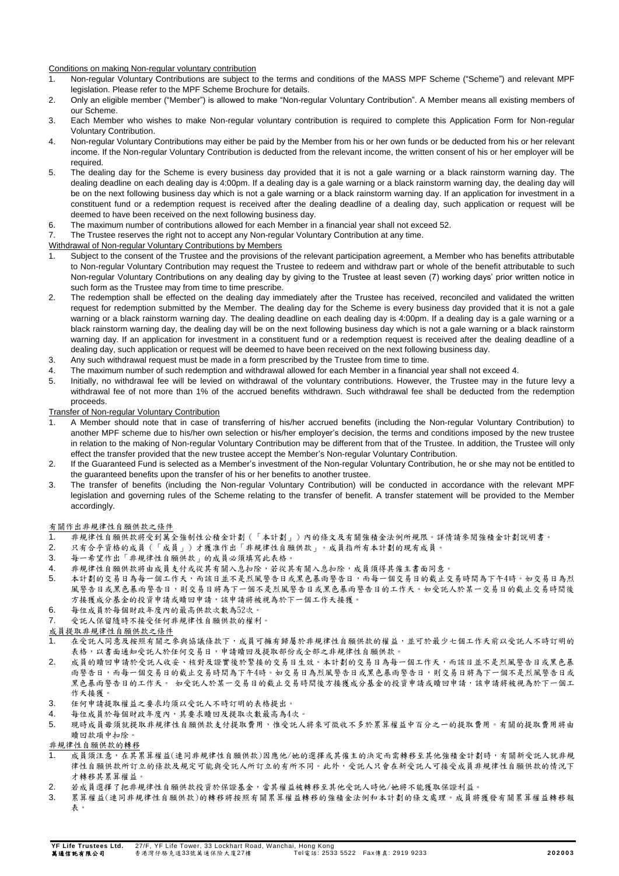Conditions on making Non-regular voluntary contribution

- 1. Non-regular Voluntary Contributions are subject to the terms and conditions of the MASS MPF Scheme ("Scheme") and relevant MPF legislation. Please refer to the MPF Scheme Brochure for details.
- 2. Only an eligible member ("Member") is allowed to make "Non-regular Voluntary Contribution". A Member means all existing members of our Scheme.
- 3. Each Member who wishes to make Non-regular voluntary contribution is required to complete this Application Form for Non-regular Voluntary Contribution.
- 4. Non-regular Voluntary Contributions may either be paid by the Member from his or her own funds or be deducted from his or her relevant income. If the Non-regular Voluntary Contribution is deducted from the relevant income, the written consent of his or her employer will be required.
- 5. The dealing day for the Scheme is every business day provided that it is not a gale warning or a black rainstorm warning day. The dealing deadline on each dealing day is 4:00pm. If a dealing day is a gale warning or a black rainstorm warning day, the dealing day will be on the next following business day which is not a gale warning or a black rainstorm warning day. If an application for investment in a constituent fund or a redemption request is received after the dealing deadline of a dealing day, such application or request will be deemed to have been received on the next following business day.
- 6. The maximum number of contributions allowed for each Member in a financial year shall not exceed 52.
- 7. The Trustee reserves the right not to accept any Non-regular Voluntary Contribution at any time.

### Withdrawal of Non-regular Voluntary Contributions by Members

- 1. Subject to the consent of the Trustee and the provisions of the relevant participation agreement, a Member who has benefits attributable to Non-regular Voluntary Contribution may request the Trustee to redeem and withdraw part or whole of the benefit attributable to such Non-regular Voluntary Contributions on any dealing day by giving to the Trustee at least seven (7) working days' prior written notice in such form as the Trustee may from time to time prescribe.
- 2. The redemption shall be effected on the dealing day immediately after the Trustee has received, reconciled and validated the written request for redemption submitted by the Member. The dealing day for the Scheme is every business day provided that it is not a gale warning or a black rainstorm warning day. The dealing deadline on each dealing day is 4:00pm. If a dealing day is a gale warning or a black rainstorm warning day, the dealing day will be on the next following business day which is not a gale warning or a black rainstorm warning day. If an application for investment in a constituent fund or a redemption request is received after the dealing deadline of a dealing day, such application or request will be deemed to have been received on the next following business day.
- 3. Any such withdrawal request must be made in a form prescribed by the Trustee from time to time.
- 4. The maximum number of such redemption and withdrawal allowed for each Member in a financial year shall not exceed 4.<br>5. Initially, no withdrawal fee will be levied on withdrawal of the voluntary contributions. However,
- Initially, no withdrawal fee will be levied on withdrawal of the voluntary contributions. However, the Trustee may in the future levy a withdrawal fee of not more than 1% of the accrued benefits withdrawn. Such withdrawal fee shall be deducted from the redemption proceeds.

#### Transfer of Non-regular Voluntary Contribution

- 1. A Member should note that in case of transferring of his/her accrued benefits (including the Non-regular Voluntary Contribution) to another MPF scheme due to his/her own selection or his/her employer's decision, the terms and conditions imposed by the new trustee in relation to the making of Non-regular Voluntary Contribution may be different from that of the Trustee. In addition, the Trustee will only effect the transfer provided that the new trustee accept the Member's Non-regular Voluntary Contribution.
- 2. If the Guaranteed Fund is selected as a Member's investment of the Non-regular Voluntary Contribution, he or she may not be entitled to the guaranteed benefits upon the transfer of his or her benefits to another trustee.
- 3. The transfer of benefits (including the Non-regular Voluntary Contribution) will be conducted in accordance with the relevant MPF legislation and governing rules of the Scheme relating to the transfer of benefit. A transfer statement will be provided to the Member accordingly.

#### 有關作出非規律性自願供款之條件

- 1. 非規律性自願供款將受到萬全強制性公積金計劃(「本計劃」)內的條文及有關強積金法例所規限。詳情請參閱強積金計劃說明書。
- 2. 只有合乎資格的成員(「成員」)才獲准作出「非規律性自願供款」。成員指所有本計劃的現有成員。
- 3. 每一希望作出「非規律性自願供款」的成員必須填寫此表格。
- 4. 非規律性自願供款將由成員支付或從其有關入息扣除,若從其有關入息扣除,成員須得其僱主書面同意。
- 5. 本計劃的交易日為每一個工作天,而該日並不是烈風警告日或黑色暴雨警告日,而每一個交易日的截止交易時間為下午4時。如交易日為烈 風警告日或黑色暴雨警告日,則交易日將為下一個不是烈風警告日或黑色暴雨警告日的工作天。如受託人於某一交易日的截止交易時間後 方接獲成分基金的投資申請或贖回申請,該申請將被視為於下一個工作天接獲。
- 6. 每位成員於每個財政年度內的最高供款次數為52次。
- 7. 受託人保留隨時不接受任何非規律性自願供款的權利。

## 成員提取非規律性自願供款之條件

- 1. 在受託人同意及按照有關之參與協議條款下,成員可擁有歸屬於非規律性自願供款的權益,並可於最少七個工作天前以受託人不時訂明的 表格,以書面通知受託人於任何交易日,申請贖回及提取部份或全部之非規律性自願供款。
- 2. 成員的贖回申請於受託人收妥、核對及證實後於緊接的交易日生效。本計劃的交易日為每一個工作天,而該日並不是烈風警告日或黑色暴 雨警告日,而每一個交易日的截止交易時間為下午4時。如交易日為烈風警告日或黑色暴雨警告日,則交易日將為下一個不是烈風警告日或 黑色暴雨警告日的工作天。 如受託人於某一交易日的截止交易時間後方接獲成分基金的投資申請或贖回申請,該申請將被視為於下一個工 作天接獲。
- 3. 任何申請提取權益之要求均須以受託人不時訂明的表格提出。
- 4. 每位成員於每個財政年度內,其要求贖回及提取次數最高為4次。
- 5. 現時成員毋須就提取非規律性自願供款支付提取費用,惟受託人將來可徵收不多於累算權益中百分之一的提取費用。有關的提取費用將由 贖回款項中扣除。
- 非規律性自願供款的轉移
- 1. 成員須注意,在其累算權益(連同非規律性自願供款)因應他/她的選擇或其僱主的決定而需轉移至其他強積金計劃時,有關新受託人就非規 律性自願供款所訂立的條款及規定可能與受託人所訂立的有所不同。此外,受託人只會在新受託人可接受成員非規律性自願供款的情況下 才轉移其累算權益。
- 2. 若成員選擇了把非規律性自願供款投資於保證基金,當其權益被轉移至其他受託人時他/她將不能獲取保證利益。
- 3. 累算權益(連同非規律性自願供款)的轉移將按照有關累算權益轉移的強積金法例和本計劃的條文處理。成員將獲發有關累算權益轉移報 表。